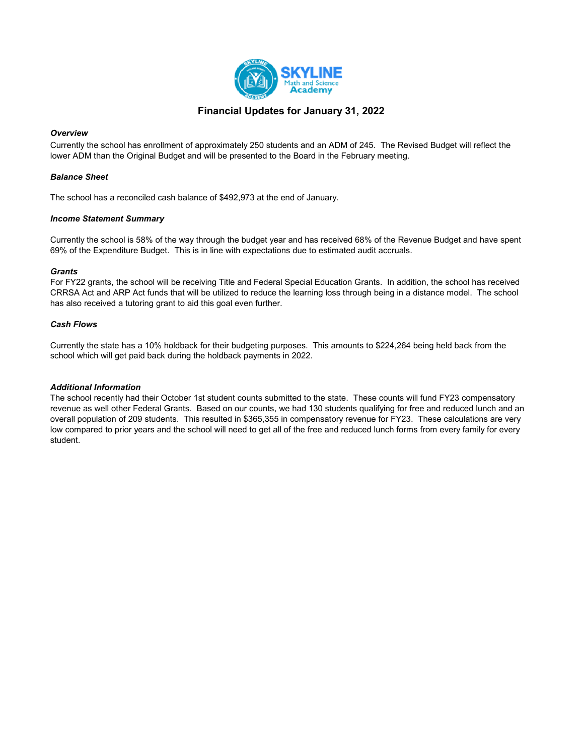

### Financial Updates for January 31, 2022

### **Overview**

Currently the school has enrollment of approximately 250 students and an ADM of 245. The Revised Budget will reflect the lower ADM than the Original Budget and will be presented to the Board in the February meeting.

### Balance Sheet

The school has a reconciled cash balance of \$492,973 at the end of January.

### Income Statement Summary

Currently the school is 58% of the way through the budget year and has received 68% of the Revenue Budget and have spent 69% of the Expenditure Budget. This is in line with expectations due to estimated audit accruals.

### **Grants**

For FY22 grants, the school will be receiving Title and Federal Special Education Grants. In addition, the school has received CRRSA Act and ARP Act funds that will be utilized to reduce the learning loss through being in a distance model. The school has also received a tutoring grant to aid this goal even further.

### Cash Flows

Currently the state has a 10% holdback for their budgeting purposes. This amounts to \$224,264 being held back from the school which will get paid back during the holdback payments in 2022.

### Additional Information

The school recently had their October 1st student counts submitted to the state. These counts will fund FY23 compensatory revenue as well other Federal Grants. Based on our counts, we had 130 students qualifying for free and reduced lunch and an overall population of 209 students. This resulted in \$365,355 in compensatory revenue for FY23. These calculations are very low compared to prior years and the school will need to get all of the free and reduced lunch forms from every family for every student.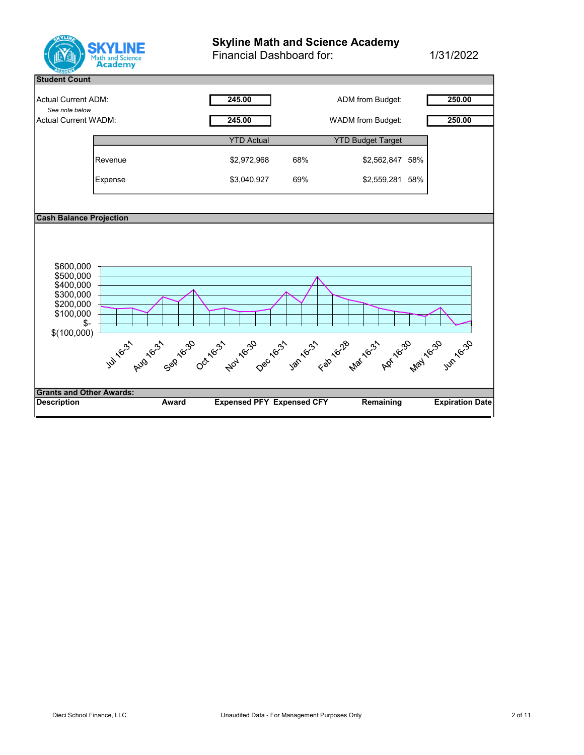

# Skyline Math and Science Academy

Financial Dashboard for: 1/31/2022

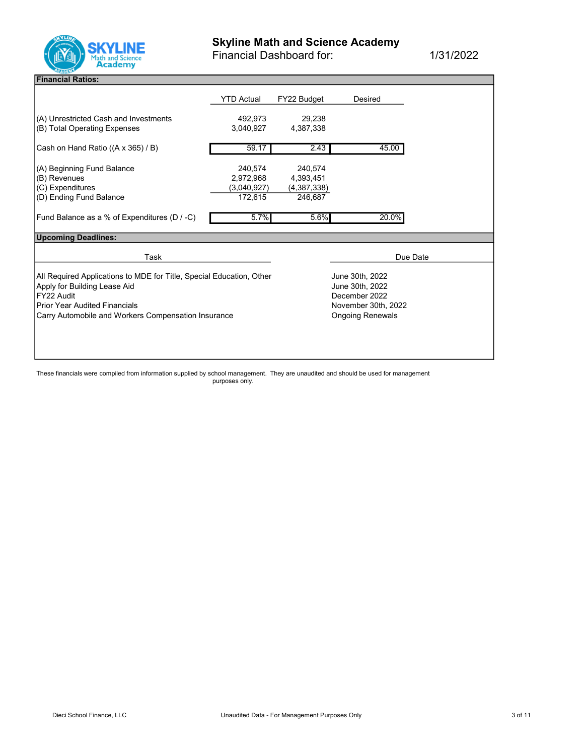

Financial Dashboard for: 1/31/2022

### Financial Ratios:

|                                                                      | YTD Actual  | FY22 Budget | Desired                 |  |
|----------------------------------------------------------------------|-------------|-------------|-------------------------|--|
| (A) Unrestricted Cash and Investments                                | 492,973     | 29,238      |                         |  |
| (B) Total Operating Expenses                                         | 3,040,927   | 4,387,338   |                         |  |
|                                                                      |             |             |                         |  |
| Cash on Hand Ratio ((A x 365) / B)                                   | 59.17       | 2.43        | 45.00                   |  |
|                                                                      |             |             |                         |  |
| (A) Beginning Fund Balance                                           | 240,574     | 240,574     |                         |  |
| (B) Revenues                                                         | 2,972,968   | 4,393,451   |                         |  |
| (C) Expenditures                                                     | (3,040,927) | (4,387,338) |                         |  |
| (D) Ending Fund Balance                                              | 172,615     | 246,687     |                         |  |
|                                                                      |             |             |                         |  |
| Fund Balance as a % of Expenditures (D / -C)                         | 5.7%        | 5.6%        | 20.0%                   |  |
| <b>Upcoming Deadlines:</b>                                           |             |             |                         |  |
|                                                                      |             |             |                         |  |
| Task                                                                 |             |             | Due Date                |  |
|                                                                      |             |             |                         |  |
| All Required Applications to MDE for Title, Special Education, Other |             |             | June 30th, 2022         |  |
| Apply for Building Lease Aid                                         |             |             | June 30th, 2022         |  |
| FY22 Audit                                                           |             |             | December 2022           |  |
| <b>Prior Year Audited Financials</b>                                 |             |             | November 30th, 2022     |  |
| Carry Automobile and Workers Compensation Insurance                  |             |             | <b>Ongoing Renewals</b> |  |
|                                                                      |             |             |                         |  |
|                                                                      |             |             |                         |  |
|                                                                      |             |             |                         |  |
|                                                                      |             |             |                         |  |

These financials were compiled from information supplied by school management. They are unaudited and should be used for management purposes only.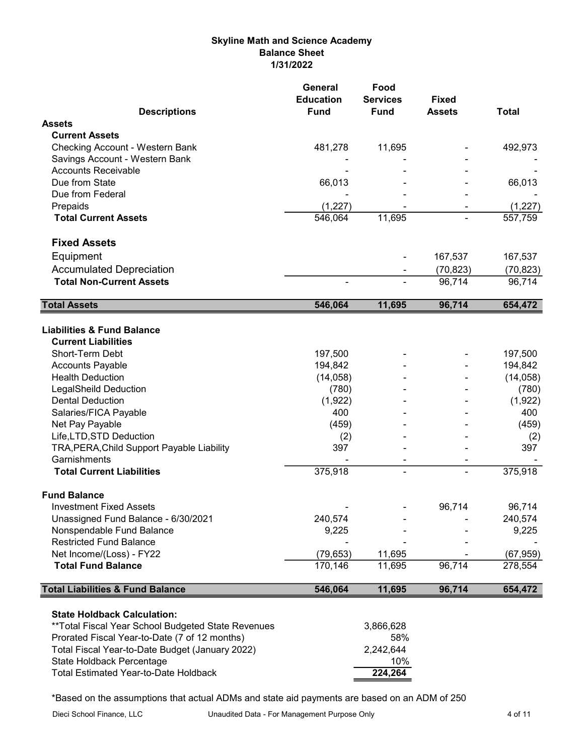## Skyline Math and Science Academy Balance Sheet 1/31/2022

| <b>Descriptions</b>                                | General<br><b>Education</b><br><b>Fund</b> | Food<br><b>Services</b> | <b>Fixed</b><br><b>Assets</b> |              |
|----------------------------------------------------|--------------------------------------------|-------------------------|-------------------------------|--------------|
| <b>Assets</b>                                      |                                            | <b>Fund</b>             |                               | <b>Total</b> |
| <b>Current Assets</b>                              |                                            |                         |                               |              |
| Checking Account - Western Bank                    | 481,278                                    | 11,695                  |                               | 492,973      |
| Savings Account - Western Bank                     |                                            |                         |                               |              |
| <b>Accounts Receivable</b>                         |                                            |                         |                               |              |
| Due from State                                     | 66,013                                     |                         |                               | 66,013       |
| Due from Federal                                   |                                            |                         |                               |              |
| Prepaids                                           | (1, 227)                                   |                         |                               | (1, 227)     |
| <b>Total Current Assets</b>                        | 546,064                                    | 11,695                  |                               | 557,759      |
| <b>Fixed Assets</b>                                |                                            |                         |                               |              |
| Equipment                                          |                                            |                         | 167,537                       | 167,537      |
| <b>Accumulated Depreciation</b>                    |                                            |                         | (70, 823)                     | (70, 823)    |
| <b>Total Non-Current Assets</b>                    |                                            |                         | 96,714                        | 96,714       |
| <b>Total Assets</b>                                | 546,064                                    | 11,695                  | 96,714                        | 654,472      |
| <b>Liabilities &amp; Fund Balance</b>              |                                            |                         |                               |              |
| <b>Current Liabilities</b>                         |                                            |                         |                               |              |
| <b>Short-Term Debt</b>                             | 197,500                                    |                         |                               | 197,500      |
| <b>Accounts Payable</b>                            | 194,842                                    |                         |                               | 194,842      |
| <b>Health Deduction</b>                            | (14, 058)                                  |                         |                               | (14, 058)    |
| <b>LegalSheild Deduction</b>                       | (780)                                      |                         |                               | (780)        |
| <b>Dental Deduction</b>                            | (1,922)                                    |                         |                               | (1,922)      |
| Salaries/FICA Payable                              | 400                                        |                         |                               | 400          |
| Net Pay Payable                                    | (459)                                      |                         |                               | (459)        |
| Life, LTD, STD Deduction                           | (2)                                        |                         |                               | (2)          |
| TRA, PERA, Child Support Payable Liability         | 397                                        |                         |                               | 397          |
| Garnishments                                       |                                            |                         |                               |              |
| <b>Total Current Liabilities</b>                   | 375,918                                    | ۰                       | ä,                            | 375,918      |
| <b>Fund Balance</b>                                |                                            |                         |                               |              |
| Investment Fixed Assets                            |                                            |                         | 96,714                        | 96,714       |
| Unassigned Fund Balance - 6/30/2021                | 240,574                                    |                         |                               | 240,574      |
| Nonspendable Fund Balance                          | 9,225                                      |                         |                               | 9,225        |
| <b>Restricted Fund Balance</b>                     |                                            |                         |                               |              |
| Net Income/(Loss) - FY22                           | (79, 653)                                  | 11,695                  |                               | (67, 959)    |
| <b>Total Fund Balance</b>                          | 170,146                                    | 11,695                  | 96,714                        | 278,554      |
| <b>Total Liabilities &amp; Fund Balance</b>        | 546,064                                    | 11,695                  | 96,714                        | 654,472      |
| <b>State Holdback Calculation:</b>                 |                                            |                         |                               |              |
| **Total Fiscal Year School Budgeted State Revenues |                                            | 3,866,628               |                               |              |
| Prorated Fiscal Year-to-Date (7 of 12 months)      |                                            | 58%                     |                               |              |
| Total Fiscal Year-to-Date Budget (January 2022)    |                                            | 2,242,644               |                               |              |
| State Holdback Percentage                          |                                            | 10%                     |                               |              |
| <b>Total Estimated Year-to-Date Holdback</b>       |                                            | 224,264                 |                               |              |

\*Based on the assumptions that actual ADMs and state aid payments are based on an ADM of 250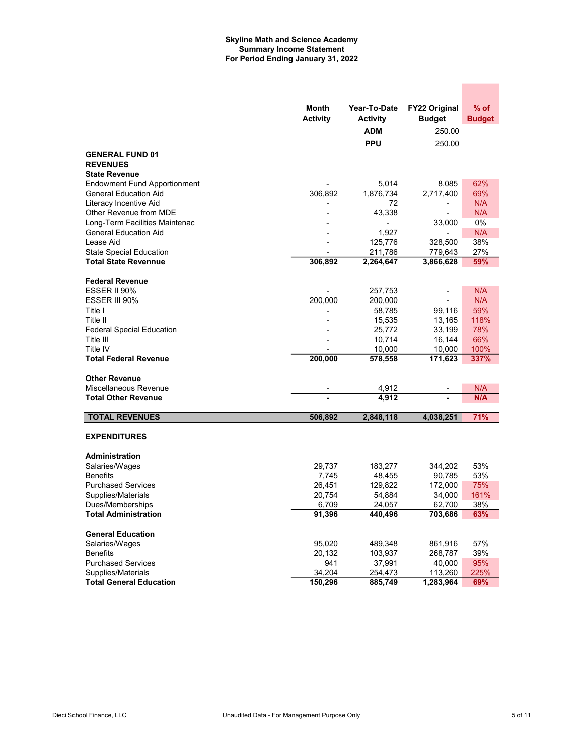#### Skyline Math and Science Academy Summary Income Statement For Period Ending January 31, 2022

|                                               | Month<br><b>Activity</b> | Year-To-Date<br><b>Activity</b> | <b>FY22 Original</b><br><b>Budget</b> | $%$ of<br><b>Budget</b> |
|-----------------------------------------------|--------------------------|---------------------------------|---------------------------------------|-------------------------|
|                                               |                          | ADM                             | 250.00                                |                         |
|                                               |                          | <b>PPU</b>                      | 250.00                                |                         |
| <b>GENERAL FUND 01</b>                        |                          |                                 |                                       |                         |
| <b>REVENUES</b>                               |                          |                                 |                                       |                         |
| <b>State Revenue</b>                          |                          |                                 |                                       |                         |
| <b>Endowment Fund Apportionment</b>           |                          | 5,014                           | 8,085                                 | 62%                     |
| <b>General Education Aid</b>                  | 306,892                  | 1,876,734                       | 2,717,400                             | 69%                     |
| Literacy Incentive Aid                        |                          | 72                              |                                       | N/A                     |
| Other Revenue from MDE                        |                          | 43,338                          |                                       | N/A                     |
| Long-Term Facilities Maintenac                |                          |                                 | 33,000                                | 0%                      |
| <b>General Education Aid</b>                  |                          | 1,927                           |                                       | N/A                     |
| Lease Aid                                     |                          | 125,776                         | 328,500                               | 38%                     |
| <b>State Special Education</b>                |                          | 211,786                         | 779,643                               | 27%                     |
| <b>Total State Revennue</b>                   | 306,892                  | 2,264,647                       | 3,866,628                             | 59%                     |
|                                               |                          |                                 |                                       |                         |
| <b>Federal Revenue</b>                        |                          |                                 |                                       |                         |
| ESSER II 90%                                  |                          | 257,753                         |                                       | N/A                     |
| ESSER III 90%<br>Title I                      | 200,000                  | 200,000                         |                                       | N/A                     |
| Title II                                      |                          | 58,785                          | 99,116                                | 59%<br>118%             |
|                                               |                          | 15,535<br>25,772                | 13,165<br>33,199                      | 78%                     |
| <b>Federal Special Education</b><br>Title III |                          | 10,714                          | 16,144                                | 66%                     |
| Title IV                                      |                          | 10,000                          | 10,000                                | 100%                    |
| <b>Total Federal Revenue</b>                  | 200,000                  | 578,558                         | 171,623                               | 337%                    |
|                                               |                          |                                 |                                       |                         |
| <b>Other Revenue</b>                          |                          |                                 |                                       |                         |
| Miscellaneous Revenue                         |                          | 4,912                           |                                       | N/A                     |
| <b>Total Other Revenue</b>                    |                          | 4,912                           |                                       | N/A                     |
|                                               |                          |                                 |                                       |                         |
| <b>TOTAL REVENUES</b>                         | 506,892                  | 2,848,118                       | 4,038,251                             | 71%                     |
| <b>EXPENDITURES</b>                           |                          |                                 |                                       |                         |
| Administration                                |                          |                                 |                                       |                         |
| Salaries/Wages                                | 29,737                   | 183,277                         | 344,202                               | 53%                     |
| <b>Benefits</b>                               | 7,745                    | 48,455                          | 90,785                                | 53%                     |
| <b>Purchased Services</b>                     | 26,451                   | 129,822                         | 172,000                               | 75%                     |
| Supplies/Materials                            | 20,754                   | 54,884                          | 34,000                                | 161%                    |
| Dues/Memberships                              | 6,709                    | 24,057                          | 62,700                                | 38%                     |
| <b>Total Administration</b>                   | 91,396                   | 440,496                         | 703,686                               | 63%                     |
| <b>General Education</b>                      |                          |                                 |                                       |                         |
| Salaries/Wages                                | 95,020                   | 489,348                         | 861,916                               | 57%                     |
| <b>Benefits</b>                               | 20,132                   | 103,937                         | 268,787                               | 39%                     |
| <b>Purchased Services</b>                     | 941                      | 37,991                          | 40,000                                | 95%                     |
| Supplies/Materials                            | 34,204                   | 254,473                         | 113,260                               | 225%                    |
| <b>Total General Education</b>                | 150,296                  | 885,749                         | 1,283,964                             | 69%                     |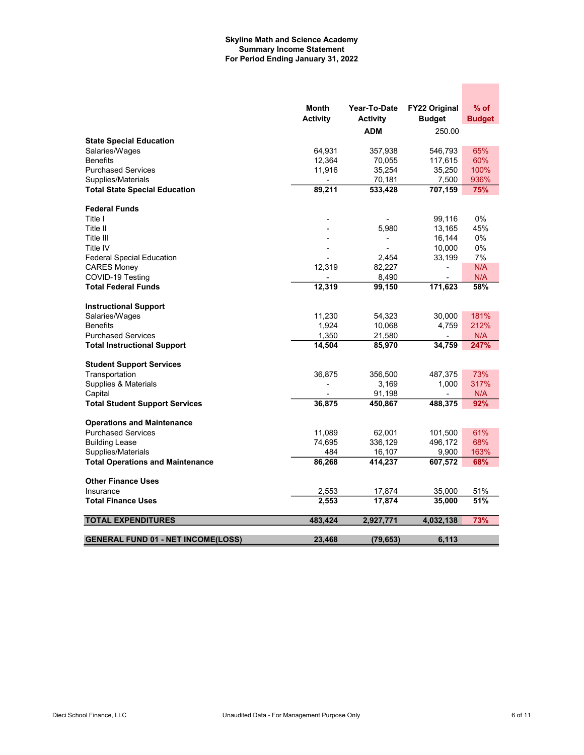#### Skyline Math and Science Academy Summary Income Statement For Period Ending January 31, 2022

|                                           | Month<br><b>Activity</b> | Year-To-Date<br><b>Activity</b> | <b>FY22 Original</b><br><b>Budget</b> | $%$ of<br><b>Budget</b> |
|-------------------------------------------|--------------------------|---------------------------------|---------------------------------------|-------------------------|
|                                           |                          | <b>ADM</b>                      | 250.00                                |                         |
| <b>State Special Education</b>            |                          |                                 |                                       |                         |
| Salaries/Wages                            | 64,931                   | 357,938                         | 546,793                               | 65%                     |
| <b>Benefits</b>                           | 12,364                   | 70,055                          | 117,615                               | 60%                     |
| <b>Purchased Services</b>                 | 11,916                   | 35,254                          | 35,250                                | 100%                    |
| Supplies/Materials                        |                          | 70,181                          | 7,500                                 | 936%                    |
| <b>Total State Special Education</b>      | 89,211                   | 533,428                         | 707,159                               | 75%                     |
| <b>Federal Funds</b>                      |                          |                                 |                                       |                         |
| Title I                                   |                          |                                 | 99,116                                | 0%                      |
| Title II                                  |                          | 5,980                           | 13,165                                | 45%                     |
| Title III                                 |                          | ٠                               | 16,144                                | 0%                      |
| Title IV                                  |                          |                                 | 10,000                                | 0%                      |
| <b>Federal Special Education</b>          |                          | 2,454                           | 33,199                                | 7%                      |
| <b>CARES Money</b>                        | 12,319                   | 82,227                          |                                       | N/A                     |
| COVID-19 Testing                          |                          | 8,490                           |                                       | N/A                     |
| <b>Total Federal Funds</b>                | 12,319                   | 99,150                          | 171,623                               | 58%                     |
| <b>Instructional Support</b>              |                          |                                 |                                       |                         |
| Salaries/Wages                            | 11,230                   | 54,323                          | 30,000                                | 181%                    |
| <b>Benefits</b>                           | 1,924                    | 10,068                          | 4,759                                 | 212%                    |
| <b>Purchased Services</b>                 | 1,350                    | 21,580                          | $\blacksquare$                        | N/A                     |
| <b>Total Instructional Support</b>        | 14,504                   | 85,970                          | 34,759                                | 247%                    |
| <b>Student Support Services</b>           |                          |                                 |                                       |                         |
| Transportation                            | 36,875                   | 356,500                         | 487,375                               | 73%                     |
| Supplies & Materials                      |                          | 3,169                           | 1,000                                 | 317%                    |
| Capital                                   |                          | 91,198                          |                                       | N/A                     |
| <b>Total Student Support Services</b>     | 36,875                   | 450,867                         | 488,375                               | 92%                     |
| <b>Operations and Maintenance</b>         |                          |                                 |                                       |                         |
| <b>Purchased Services</b>                 | 11,089                   | 62,001                          | 101,500                               | 61%                     |
| <b>Building Lease</b>                     | 74,695                   | 336,129                         | 496,172                               | 68%                     |
| Supplies/Materials                        | 484                      | 16,107                          | 9,900                                 | 163%                    |
| <b>Total Operations and Maintenance</b>   | 86,268                   | 414,237                         | 607,572                               | 68%                     |
| <b>Other Finance Uses</b>                 |                          |                                 |                                       |                         |
| Insurance                                 | 2,553                    | 17,874                          | 35,000                                | 51%                     |
| <b>Total Finance Uses</b>                 | 2,553                    | 17,874                          | 35,000                                | 51%                     |
| <b>TOTAL EXPENDITURES</b>                 | 483,424                  | 2,927,771                       | 4,032,138                             | 73%                     |
| <b>GENERAL FUND 01 - NET INCOME(LOSS)</b> | 23.468                   | (79, 653)                       | 6.113                                 |                         |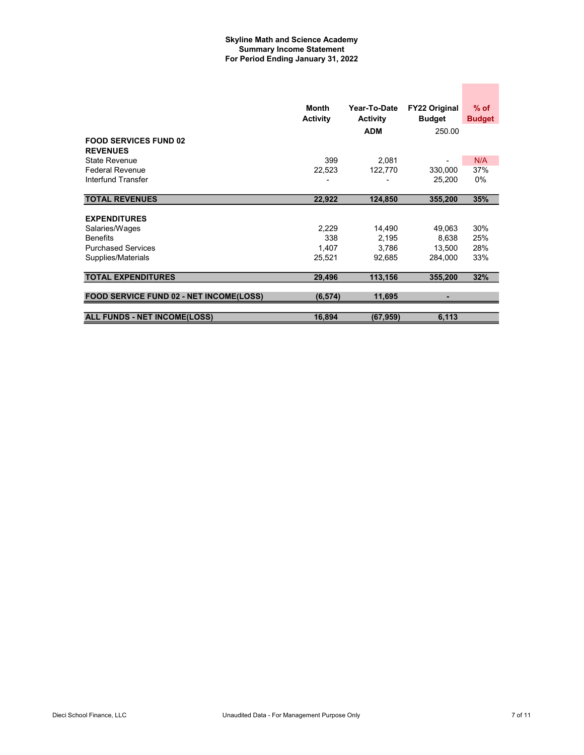#### Skyline Math and Science Academy Summary Income Statement For Period Ending January 31, 2022

|                                         | Month<br><b>Activity</b> | Year-To-Date<br><b>Activity</b> | <b>FY22 Original</b><br><b>Budget</b> | $%$ of<br><b>Budget</b> |
|-----------------------------------------|--------------------------|---------------------------------|---------------------------------------|-------------------------|
| <b>FOOD SERVICES FUND 02</b>            |                          | <b>ADM</b>                      | 250.00                                |                         |
| <b>REVENUES</b>                         |                          |                                 |                                       |                         |
| State Revenue                           | 399                      | 2,081                           |                                       | N/A                     |
| <b>Federal Revenue</b>                  | 22,523                   | 122,770                         | 330,000                               | 37%                     |
| Interfund Transfer                      |                          |                                 | 25,200                                | 0%                      |
|                                         |                          |                                 |                                       |                         |
| <b>TOTAL REVENUES</b>                   | 22,922                   | 124,850                         | 355,200                               | 35%                     |
|                                         |                          |                                 |                                       |                         |
| <b>EXPENDITURES</b>                     |                          |                                 |                                       |                         |
| Salaries/Wages                          | 2,229                    | 14,490                          | 49,063                                | 30%                     |
| <b>Benefits</b>                         | 338                      | 2,195                           | 8,638                                 | 25%                     |
| <b>Purchased Services</b>               | 1,407                    | 3,786                           | 13,500                                | 28%                     |
| Supplies/Materials                      | 25,521                   | 92,685                          | 284.000                               | 33%                     |
|                                         |                          |                                 |                                       |                         |
| <b>TOTAL EXPENDITURES</b>               | 29,496                   | 113,156                         | 355,200                               | 32%                     |
|                                         |                          |                                 |                                       |                         |
| FOOD SERVICE FUND 02 - NET INCOME(LOSS) | (6, 574)                 | 11,695                          | ۰                                     |                         |
|                                         |                          |                                 |                                       |                         |
| <b>ALL FUNDS - NET INCOME(LOSS)</b>     | 16,894                   | (67, 959)                       | 6,113                                 |                         |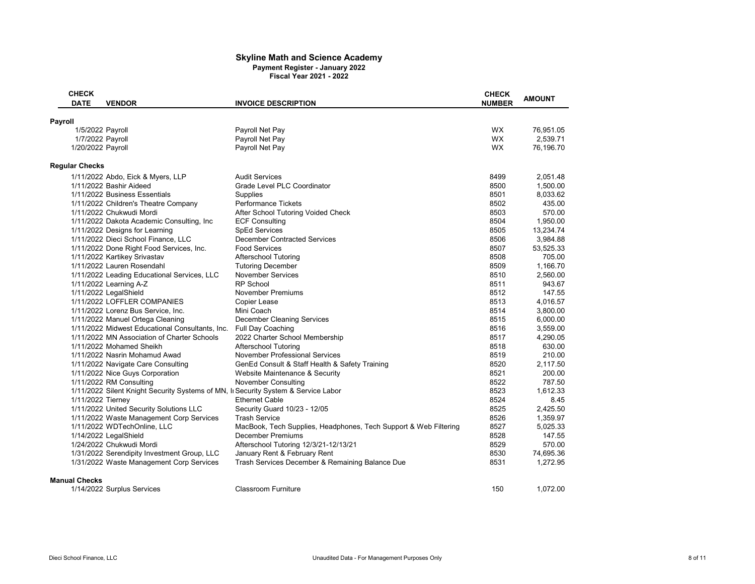#### Skyline Math and Science Academy Payment Register - January 2022 Fiscal Year 2021 - 2022

|         | <b>CHECK</b>          |                                                                                    |                                                                  | <b>CHECK</b>  | <b>AMOUNT</b> |
|---------|-----------------------|------------------------------------------------------------------------------------|------------------------------------------------------------------|---------------|---------------|
|         | <b>DATE</b>           | <b>VENDOR</b>                                                                      | <b>INVOICE DESCRIPTION</b>                                       | <b>NUMBER</b> |               |
| Payroll |                       |                                                                                    |                                                                  |               |               |
|         | 1/5/2022 Payroll      |                                                                                    | Payroll Net Pay                                                  | <b>WX</b>     | 76,951.05     |
|         | 1/7/2022 Payroll      |                                                                                    | Payroll Net Pay                                                  | <b>WX</b>     | 2,539.71      |
|         | 1/20/2022 Payroll     |                                                                                    | Payroll Net Pay                                                  | <b>WX</b>     | 76,196.70     |
|         | <b>Regular Checks</b> |                                                                                    |                                                                  |               |               |
|         |                       | 1/11/2022 Abdo, Eick & Myers, LLP                                                  | <b>Audit Services</b>                                            | 8499          | 2,051.48      |
|         |                       | 1/11/2022 Bashir Aideed                                                            | Grade Level PLC Coordinator                                      | 8500          | 1,500.00      |
|         |                       | 1/11/2022 Business Essentials                                                      | Supplies                                                         | 8501          | 8,033.62      |
|         |                       | 1/11/2022 Children's Theatre Company                                               | <b>Performance Tickets</b>                                       | 8502          | 435.00        |
|         |                       | 1/11/2022 Chukwudi Mordi                                                           | After School Tutoring Voided Check                               | 8503          | 570.00        |
|         |                       | 1/11/2022 Dakota Academic Consulting, Inc.                                         | <b>ECF Consulting</b>                                            | 8504          | 1,950.00      |
|         |                       | 1/11/2022 Designs for Learning                                                     | <b>SpEd Services</b>                                             | 8505          | 13,234.74     |
|         |                       | 1/11/2022 Dieci School Finance, LLC                                                | <b>December Contracted Services</b>                              | 8506          | 3,984.88      |
|         |                       | 1/11/2022 Done Right Food Services, Inc.                                           | <b>Food Services</b>                                             | 8507          | 53,525.33     |
|         |                       | 1/11/2022 Kartikey Srivastav                                                       | Afterschool Tutoring                                             | 8508          | 705.00        |
|         |                       | 1/11/2022 Lauren Rosendahl                                                         | <b>Tutoring December</b>                                         | 8509          | 1,166.70      |
|         |                       | 1/11/2022 Leading Educational Services, LLC                                        | <b>November Services</b>                                         | 8510          | 2,560.00      |
|         |                       | 1/11/2022 Learning A-Z                                                             | <b>RP School</b>                                                 | 8511          | 943.67        |
|         |                       | 1/11/2022 LegalShield                                                              | November Premiums                                                | 8512          | 147.55        |
|         |                       | 1/11/2022 LOFFLER COMPANIES                                                        | Copier Lease                                                     | 8513          | 4,016.57      |
|         |                       | 1/11/2022 Lorenz Bus Service, Inc.                                                 | Mini Coach                                                       | 8514          | 3,800.00      |
|         |                       | 1/11/2022 Manuel Ortega Cleaning                                                   | <b>December Cleaning Services</b>                                | 8515          | 6,000.00      |
|         |                       | 1/11/2022 Midwest Educational Consultants, Inc.                                    | Full Day Coaching                                                | 8516          | 3,559.00      |
|         |                       | 1/11/2022 MN Association of Charter Schools                                        | 2022 Charter School Membership                                   | 8517          | 4,290.05      |
|         |                       | 1/11/2022 Mohamed Sheikh                                                           | <b>Afterschool Tutoring</b>                                      | 8518          | 630.00        |
|         |                       | 1/11/2022 Nasrin Mohamud Awad                                                      | November Professional Services                                   | 8519          | 210.00        |
|         |                       | 1/11/2022 Navigate Care Consulting                                                 | GenEd Consult & Staff Health & Safety Training                   | 8520          | 2,117.50      |
|         |                       | 1/11/2022 Nice Guys Corporation                                                    | Website Maintenance & Security                                   | 8521          | 200.00        |
|         |                       | 1/11/2022 RM Consulting                                                            | November Consulting                                              | 8522          | 787.50        |
|         |                       | 1/11/2022 Silent Knight Security Systems of MN, In Security System & Service Labor |                                                                  | 8523          | 1,612.33      |
|         | 1/11/2022 Tierney     |                                                                                    | <b>Ethernet Cable</b>                                            | 8524          | 8.45          |
|         |                       | 1/11/2022 United Security Solutions LLC                                            | Security Guard 10/23 - 12/05                                     | 8525          | 2,425.50      |
|         |                       | 1/11/2022 Waste Management Corp Services                                           | <b>Trash Service</b>                                             | 8526          | 1,359.97      |
|         |                       | 1/11/2022 WDTechOnline, LLC                                                        | MacBook, Tech Supplies, Headphones, Tech Support & Web Filtering | 8527          | 5,025.33      |
|         |                       | 1/14/2022 LegalShield                                                              | <b>December Premiums</b>                                         | 8528          | 147.55        |
|         |                       | 1/24/2022 Chukwudi Mordi                                                           | Afterschool Tutoring 12/3/21-12/13/21                            | 8529          | 570.00        |
|         |                       | 1/31/2022 Serendipity Investment Group, LLC                                        | January Rent & February Rent                                     | 8530          | 74,695.36     |
|         |                       | 1/31/2022 Waste Management Corp Services                                           | Trash Services December & Remaining Balance Due                  | 8531          | 1,272.95      |
|         | <b>Manual Checks</b>  |                                                                                    |                                                                  |               |               |
|         |                       | 1/14/2022 Surplus Services                                                         | Classroom Furniture                                              | 150           | 1,072.00      |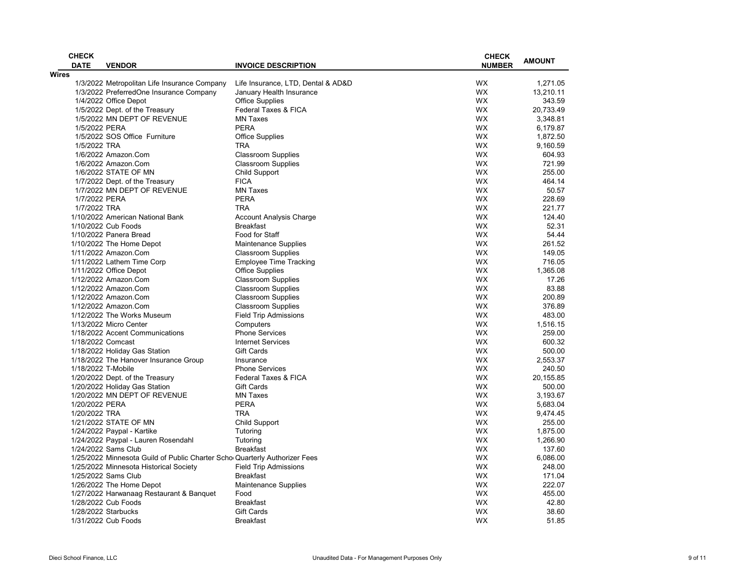|              | <b>CHECK</b>       |                                                                            |                                    | <b>CHECK</b>  |               |
|--------------|--------------------|----------------------------------------------------------------------------|------------------------------------|---------------|---------------|
|              | <b>DATE</b>        | <b>VENDOR</b>                                                              | <b>INVOICE DESCRIPTION</b>         | <b>NUMBER</b> | <b>AMOUNT</b> |
| <b>Wires</b> |                    |                                                                            |                                    |               |               |
|              |                    | 1/3/2022 Metropolitan Life Insurance Company                               | Life Insurance, LTD, Dental & AD&D | <b>WX</b>     | 1.271.05      |
|              |                    | 1/3/2022 PreferredOne Insurance Company                                    | January Health Insurance           | <b>WX</b>     | 13,210.11     |
|              |                    | 1/4/2022 Office Depot                                                      | <b>Office Supplies</b>             | WX.           | 343.59        |
|              |                    | 1/5/2022 Dept. of the Treasury                                             | Federal Taxes & FICA               | <b>WX</b>     | 20.733.49     |
|              |                    | 1/5/2022 MN DEPT OF REVENUE                                                | <b>MN Taxes</b>                    | <b>WX</b>     | 3,348.81      |
|              | 1/5/2022 PERA      |                                                                            | <b>PERA</b>                        | WX            | 6,179.87      |
|              |                    | 1/5/2022 SOS Office Furniture                                              | <b>Office Supplies</b>             | <b>WX</b>     | 1,872.50      |
|              | 1/5/2022 TRA       |                                                                            | <b>TRA</b>                         | <b>WX</b>     | 9,160.59      |
|              |                    | 1/6/2022 Amazon.Com                                                        | <b>Classroom Supplies</b>          | WX.           | 604.93        |
|              |                    | 1/6/2022 Amazon.Com                                                        | <b>Classroom Supplies</b>          | <b>WX</b>     | 721.99        |
|              |                    | 1/6/2022 STATE OF MN                                                       | Child Support                      | WX            | 255.00        |
|              |                    | 1/7/2022 Dept. of the Treasury                                             | <b>FICA</b>                        | WX.           | 464.14        |
|              |                    | 1/7/2022 MN DEPT OF REVENUE                                                | <b>MN Taxes</b>                    | <b>WX</b>     | 50.57         |
|              | 1/7/2022 PERA      |                                                                            | <b>PERA</b>                        | <b>WX</b>     | 228.69        |
|              | 1/7/2022 TRA       |                                                                            | <b>TRA</b>                         | <b>WX</b>     | 221.77        |
|              |                    | 1/10/2022 American National Bank                                           | <b>Account Analysis Charge</b>     | <b>WX</b>     | 124.40        |
|              |                    | 1/10/2022 Cub Foods                                                        | <b>Breakfast</b>                   | <b>WX</b>     | 52.31         |
|              |                    | 1/10/2022 Panera Bread                                                     | Food for Staff                     | <b>WX</b>     | 54.44         |
|              |                    | 1/10/2022 The Home Depot                                                   | Maintenance Supplies               | <b>WX</b>     | 261.52        |
|              |                    | 1/11/2022 Amazon.Com                                                       | <b>Classroom Supplies</b>          | <b>WX</b>     | 149.05        |
|              |                    | 1/11/2022 Lathem Time Corp                                                 | <b>Employee Time Tracking</b>      | <b>WX</b>     | 716.05        |
|              |                    | 1/11/2022 Office Depot                                                     | <b>Office Supplies</b>             | <b>WX</b>     | 1.365.08      |
|              |                    | 1/12/2022 Amazon.Com                                                       | <b>Classroom Supplies</b>          | <b>WX</b>     | 17.26         |
|              |                    | 1/12/2022 Amazon.Com                                                       | <b>Classroom Supplies</b>          | <b>WX</b>     | 83.88         |
|              |                    | 1/12/2022 Amazon.Com                                                       | <b>Classroom Supplies</b>          | <b>WX</b>     | 200.89        |
|              |                    | 1/12/2022 Amazon.Com                                                       | <b>Classroom Supplies</b>          | <b>WX</b>     | 376.89        |
|              |                    | 1/12/2022 The Works Museum                                                 | <b>Field Trip Admissions</b>       | <b>WX</b>     | 483.00        |
|              |                    | 1/13/2022 Micro Center                                                     | Computers                          | <b>WX</b>     | 1,516.15      |
|              |                    | 1/18/2022 Accent Communications                                            | <b>Phone Services</b>              | <b>WX</b>     | 259.00        |
|              | 1/18/2022 Comcast  |                                                                            | <b>Internet Services</b>           | <b>WX</b>     | 600.32        |
|              |                    |                                                                            | <b>Gift Cards</b>                  | <b>WX</b>     | 500.00        |
|              |                    | 1/18/2022 Holiday Gas Station                                              |                                    |               |               |
|              |                    | 1/18/2022 The Hanover Insurance Group                                      | Insurance                          | <b>WX</b>     | 2,553.37      |
|              | 1/18/2022 T-Mobile |                                                                            | <b>Phone Services</b>              | <b>WX</b>     | 240.50        |
|              |                    | 1/20/2022 Dept. of the Treasury                                            | <b>Federal Taxes &amp; FICA</b>    | <b>WX</b>     | 20,155.85     |
|              |                    | 1/20/2022 Holiday Gas Station                                              | <b>Gift Cards</b>                  | <b>WX</b>     | 500.00        |
|              |                    | 1/20/2022 MN DEPT OF REVENUE                                               | <b>MN Taxes</b>                    | <b>WX</b>     | 3,193.67      |
|              | 1/20/2022 PERA     |                                                                            | <b>PERA</b>                        | <b>WX</b>     | 5,683.04      |
|              | 1/20/2022 TRA      |                                                                            | <b>TRA</b>                         | <b>WX</b>     | 9,474.45      |
|              |                    | 1/21/2022 STATE OF MN                                                      | <b>Child Support</b>               | <b>WX</b>     | 255.00        |
|              |                    | 1/24/2022 Paypal - Kartike                                                 | Tutoring                           | WX            | 1,875.00      |
|              |                    | 1/24/2022 Paypal - Lauren Rosendahl                                        | Tutoring                           | WX.           | 1,266.90      |
|              |                    | 1/24/2022 Sams Club                                                        | <b>Breakfast</b>                   | <b>WX</b>     | 137.60        |
|              |                    | 1/25/2022 Minnesota Guild of Public Charter Scho Quarterly Authorizer Fees |                                    | <b>WX</b>     | 6,086.00      |
|              |                    | 1/25/2022 Minnesota Historical Society                                     | <b>Field Trip Admissions</b>       | WX.           | 248.00        |
|              |                    | 1/25/2022 Sams Club                                                        | <b>Breakfast</b>                   | WX            | 171.04        |
|              |                    | 1/26/2022 The Home Depot                                                   | Maintenance Supplies               | <b>WX</b>     | 222.07        |
|              |                    | 1/27/2022 Harwanaag Restaurant & Banquet                                   | Food                               | <b>WX</b>     | 455.00        |
|              |                    | 1/28/2022 Cub Foods                                                        | <b>Breakfast</b>                   | <b>WX</b>     | 42.80         |
|              |                    | 1/28/2022 Starbucks                                                        | <b>Gift Cards</b>                  | <b>WX</b>     | 38.60         |
|              |                    | 1/31/2022 Cub Foods                                                        | <b>Breakfast</b>                   | <b>WX</b>     | 51.85         |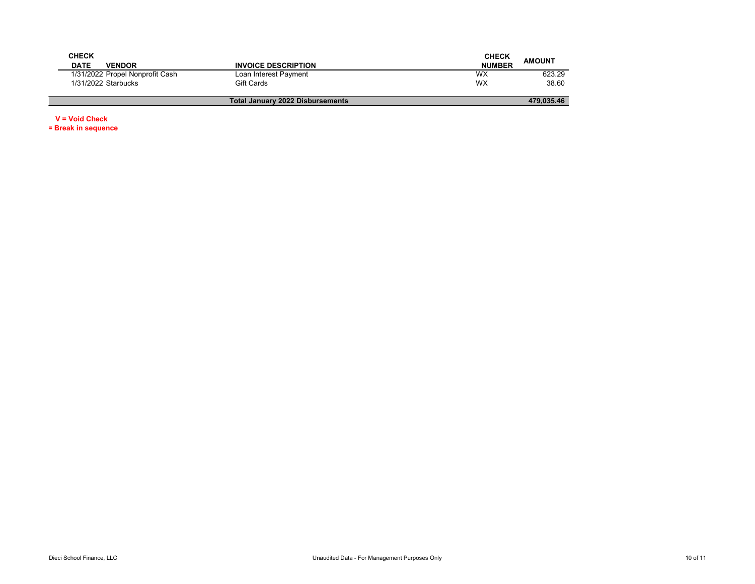| <b>CHECK</b>                    |                                  | <b>CHECK</b>  | <b>AMOUNT</b> |
|---------------------------------|----------------------------------|---------------|---------------|
| <b>DATE</b><br><b>VENDOR</b>    | <b>INVOICE DESCRIPTION</b>       | <b>NUMBER</b> |               |
| 1/31/2022 Propel Nonprofit Cash | Loan Interest Payment            | WХ            | 623.29        |
| 1/31/2022 Starbucks             | Gift Cards                       | <b>WX</b>     | 38.60         |
|                                 |                                  |               |               |
|                                 | Total January 2022 Disbursements |               | 479.035.46    |

V = Void Check

= Break in sequence